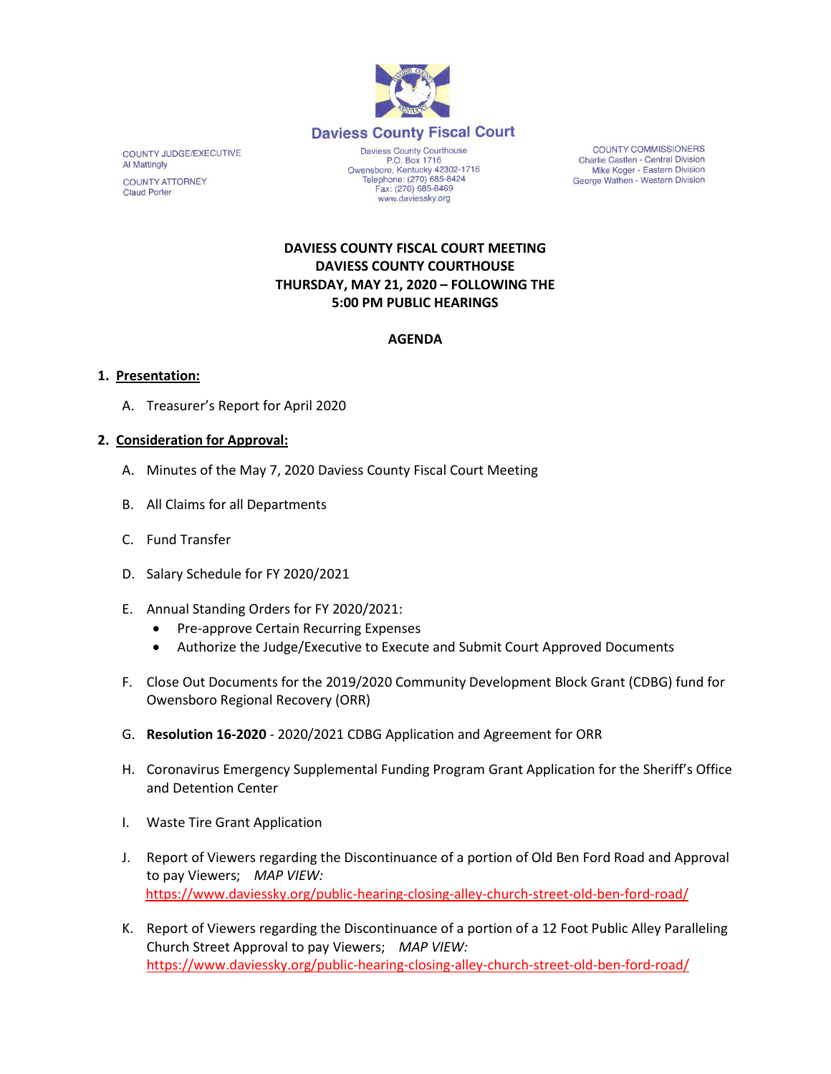

COUNTY JUDGE/EXECUTIVE **Al Mattingly COUNTY ATTORNEY Claud Porter** 

Daviess County Courthouse P.O. Box 1716 P.O. Box 1716<br>Owensboro, Kentucky 42302-1716<br>Telephone: (270) 685-8424 Fax: (270) 685-8469 www.daviessky.org

**COUNTY COMMISSIONERS** Charlie Castlen - Central Division Mike Koger - Eastern Division George Wathen - Western Division

# **DAVIESS COUNTY FISCAL COURT MEETING DAVIESS COUNTY COURTHOUSE THURSDAY, MAY 21, 2020 – FOLLOWING THE 5:00 PM PUBLIC HEARINGS**

# **AGENDA**

#### **1. Presentation:**

A. Treasurer's Report for April 2020

## **2. Consideration for Approval:**

- A. Minutes of the May 7, 2020 Daviess County Fiscal Court Meeting
- B. All Claims for all Departments
- C. Fund Transfer
- D. Salary Schedule for FY 2020/2021
- E. Annual Standing Orders for FY 2020/2021:
	- Pre-approve Certain Recurring Expenses
	- Authorize the Judge/Executive to Execute and Submit Court Approved Documents
- F. Close Out Documents for the 2019/2020 Community Development Block Grant (CDBG) fund for Owensboro Regional Recovery (ORR)
- G. **Resolution 16-2020** 2020/2021 CDBG Application and Agreement for ORR
- H. Coronavirus Emergency Supplemental Funding Program Grant Application for the Sheriff's Office and Detention Center
- I. Waste Tire Grant Application
- J. Report of Viewers regarding the Discontinuance of a portion of Old Ben Ford Road and Approval to pay Viewers; *MAP VIEW:* <https://www.daviessky.org/public-hearing-closing-alley-church-street-old-ben-ford-road/>
- K. Report of Viewers regarding the Discontinuance of a portion of a 12 Foot Public Alley Paralleling Church Street Approval to pay Viewers; *MAP VIEW:* <https://www.daviessky.org/public-hearing-closing-alley-church-street-old-ben-ford-road/>